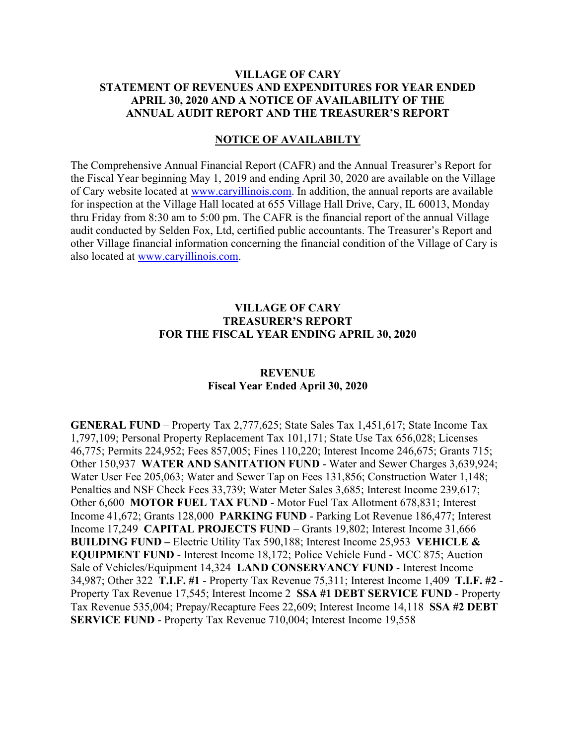# **VILLAGE OF CARY STATEMENT OF REVENUES AND EXPENDITURES FOR YEAR ENDED APRIL 30, 2020 AND A NOTICE OF AVAILABILITY OF THE ANNUAL AUDIT REPORT AND THE TREASURER'S REPORT**

# **NOTICE OF AVAILABILTY**

The Comprehensive Annual Financial Report (CAFR) and the Annual Treasurer's Report for the Fiscal Year beginning May 1, 2019 and ending April 30, 2020 are available on the Village of Cary website located at [www.caryillinois.com.](http://www.caryillinois.com/) In addition, the annual reports are available for inspection at the Village Hall located at 655 Village Hall Drive, Cary, IL 60013, Monday thru Friday from 8:30 am to 5:00 pm. The CAFR is the financial report of the annual Village audit conducted by Selden Fox, Ltd, certified public accountants. The Treasurer's Report and other Village financial information concerning the financial condition of the Village of Cary is also located at [www.caryillinois.com.](http://www.caryillinois.com/)

# **VILLAGE OF CARY TREASURER'S REPORT FOR THE FISCAL YEAR ENDING APRIL 30, 2020**

# **REVENUE Fiscal Year Ended April 30, 2020**

**GENERAL FUND** – Property Tax 2,777,625; State Sales Tax 1,451,617; State Income Tax 1,797,109; Personal Property Replacement Tax 101,171; State Use Tax 656,028; Licenses 46,775; Permits 224,952; Fees 857,005; Fines 110,220; Interest Income 246,675; Grants 715; Other 150,937 **WATER AND SANITATION FUND** - Water and Sewer Charges 3,639,924; Water User Fee 205,063; Water and Sewer Tap on Fees 131,856; Construction Water 1,148; Penalties and NSF Check Fees 33,739; Water Meter Sales 3,685; Interest Income 239,617; Other 6,600 **MOTOR FUEL TAX FUND** - Motor Fuel Tax Allotment 678,831; Interest Income 41,672; Grants 128,000 **PARKING FUND** - Parking Lot Revenue 186,477; Interest Income 17,249 **CAPITAL PROJECTS FUND** – Grants 19,802; Interest Income 31,666 **BUILDING FUND –** Electric Utility Tax 590,188; Interest Income 25,953 **VEHICLE & EQUIPMENT FUND** - Interest Income 18,172; Police Vehicle Fund - MCC 875; Auction Sale of Vehicles/Equipment 14,324 **LAND CONSERVANCY FUND** - Interest Income 34,987; Other 322 **T.I.F. #1** - Property Tax Revenue 75,311; Interest Income 1,409 **T.I.F. #2** - Property Tax Revenue 17,545; Interest Income 2 **SSA #1 DEBT SERVICE FUND** - Property Tax Revenue 535,004; Prepay/Recapture Fees 22,609; Interest Income 14,118 **SSA #2 DEBT SERVICE FUND** - Property Tax Revenue 710,004; Interest Income 19,558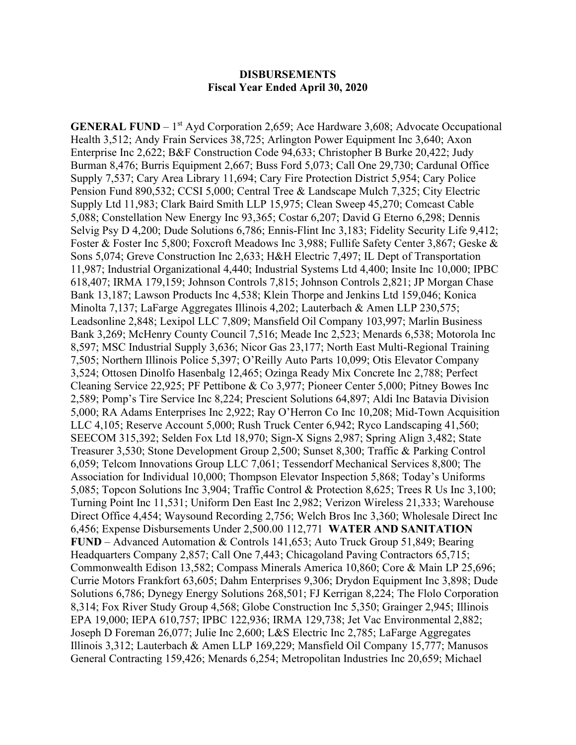# **DISBURSEMENTS Fiscal Year Ended April 30, 2020**

**GENERAL FUND** – 1<sup>st</sup> Ayd Corporation 2,659; Ace Hardware 3,608; Advocate Occupational Health 3,512; Andy Frain Services 38,725; Arlington Power Equipment Inc 3,640; Axon Enterprise Inc 2,622; B&F Construction Code 94,633; Christopher B Burke 20,422; Judy Burman 8,476; Burris Equipment 2,667; Buss Ford 5,073; Call One 29,730; Cardunal Office Supply 7,537; Cary Area Library 11,694; Cary Fire Protection District 5,954; Cary Police Pension Fund 890,532; CCSI 5,000; Central Tree & Landscape Mulch 7,325; City Electric Supply Ltd 11,983; Clark Baird Smith LLP 15,975; Clean Sweep 45,270; Comcast Cable 5,088; Constellation New Energy Inc 93,365; Costar 6,207; David G Eterno 6,298; Dennis Selvig Psy D 4,200; Dude Solutions 6,786; Ennis-Flint Inc 3,183; Fidelity Security Life 9,412; Foster & Foster Inc 5,800; Foxcroft Meadows Inc 3,988; Fullife Safety Center 3,867; Geske & Sons 5,074; Greve Construction Inc 2,633; H&H Electric 7,497; IL Dept of Transportation 11,987; Industrial Organizational 4,440; Industrial Systems Ltd 4,400; Insite Inc 10,000; IPBC 618,407; IRMA 179,159; Johnson Controls 7,815; Johnson Controls 2,821; JP Morgan Chase Bank 13,187; Lawson Products Inc 4,538; Klein Thorpe and Jenkins Ltd 159,046; Konica Minolta 7,137; LaFarge Aggregates Illinois 4,202; Lauterbach & Amen LLP 230,575; Leadsonline 2,848; Lexipol LLC 7,809; Mansfield Oil Company 103,997; Marlin Business Bank 3,269; McHenry County Council 7,516; Meade Inc 2,523; Menards 6,538; Motorola Inc 8,597; MSC Industrial Supply 3,636; Nicor Gas 23,177; North East Multi-Regional Training 7,505; Northern Illinois Police 5,397; O'Reilly Auto Parts 10,099; Otis Elevator Company 3,524; Ottosen Dinolfo Hasenbalg 12,465; Ozinga Ready Mix Concrete Inc 2,788; Perfect Cleaning Service 22,925; PF Pettibone & Co 3,977; Pioneer Center 5,000; Pitney Bowes Inc 2,589; Pomp's Tire Service Inc 8,224; Prescient Solutions 64,897; Aldi Inc Batavia Division 5,000; RA Adams Enterprises Inc 2,922; Ray O'Herron Co Inc 10,208; Mid-Town Acquisition LLC 4,105; Reserve Account 5,000; Rush Truck Center 6,942; Ryco Landscaping 41,560; SEECOM 315,392; Selden Fox Ltd 18,970; Sign-X Signs 2,987; Spring Align 3,482; State Treasurer 3,530; Stone Development Group 2,500; Sunset 8,300; Traffic & Parking Control 6,059; Telcom Innovations Group LLC 7,061; Tessendorf Mechanical Services 8,800; The Association for Individual 10,000; Thompson Elevator Inspection 5,868; Today's Uniforms 5,085; Topcon Solutions Inc 3,904; Traffic Control & Protection 8,625; Trees R Us Inc 3,100; Turning Point Inc 11,531; Uniform Den East Inc 2,982; Verizon Wireless 21,333; Warehouse Direct Office 4,454; Waysound Recording 2,756; Welch Bros Inc 3,360; Wholesale Direct Inc 6,456; Expense Disbursements Under 2,500.00 112,771 **WATER AND SANITATION FUND** – Advanced Automation & Controls 141,653; Auto Truck Group 51,849; Bearing Headquarters Company 2,857; Call One 7,443; Chicagoland Paving Contractors 65,715; Commonwealth Edison 13,582; Compass Minerals America 10,860; Core & Main LP 25,696; Currie Motors Frankfort 63,605; Dahm Enterprises 9,306; Drydon Equipment Inc 3,898; Dude Solutions 6,786; Dynegy Energy Solutions 268,501; FJ Kerrigan 8,224; The Flolo Corporation 8,314; Fox River Study Group 4,568; Globe Construction Inc 5,350; Grainger 2,945; Illinois EPA 19,000; IEPA 610,757; IPBC 122,936; IRMA 129,738; Jet Vac Environmental 2,882; Joseph D Foreman 26,077; Julie Inc 2,600; L&S Electric Inc 2,785; LaFarge Aggregates Illinois 3,312; Lauterbach & Amen LLP 169,229; Mansfield Oil Company 15,777; Manusos General Contracting 159,426; Menards 6,254; Metropolitan Industries Inc 20,659; Michael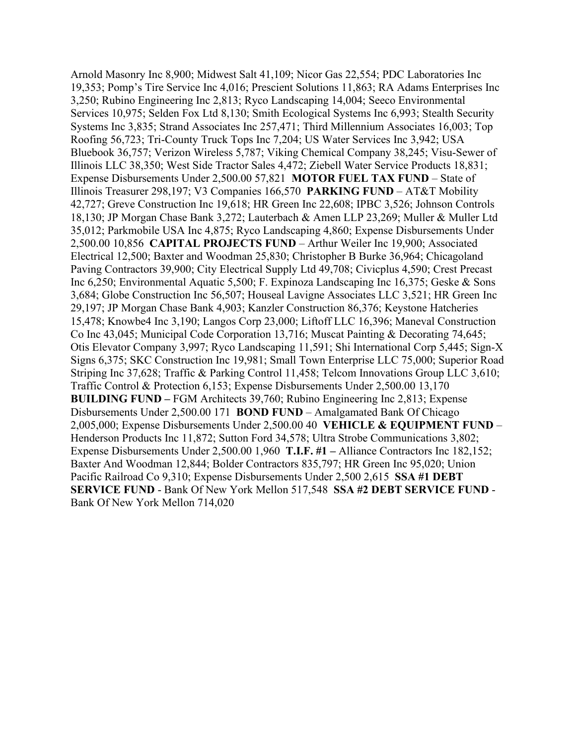Arnold Masonry Inc 8,900; Midwest Salt 41,109; Nicor Gas 22,554; PDC Laboratories Inc 19,353; Pomp's Tire Service Inc 4,016; Prescient Solutions 11,863; RA Adams Enterprises Inc 3,250; Rubino Engineering Inc 2,813; Ryco Landscaping 14,004; Seeco Environmental Services 10,975; Selden Fox Ltd 8,130; Smith Ecological Systems Inc 6,993; Stealth Security Systems Inc 3,835; Strand Associates Inc 257,471; Third Millennium Associates 16,003; Top Roofing 56,723; Tri-County Truck Tops Inc 7,204; US Water Services Inc 3,942; USA Bluebook 36,757; Verizon Wireless 5,787; Viking Chemical Company 38,245; Visu-Sewer of Illinois LLC 38,350; West Side Tractor Sales 4,472; Ziebell Water Service Products 18,831; Expense Disbursements Under 2,500.00 57,821 **MOTOR FUEL TAX FUND** – State of Illinois Treasurer 298,197; V3 Companies 166,570 **PARKING FUND** – AT&T Mobility 42,727; Greve Construction Inc 19,618; HR Green Inc 22,608; IPBC 3,526; Johnson Controls 18,130; JP Morgan Chase Bank 3,272; Lauterbach & Amen LLP 23,269; Muller & Muller Ltd 35,012; Parkmobile USA Inc 4,875; Ryco Landscaping 4,860; Expense Disbursements Under 2,500.00 10,856 **CAPITAL PROJECTS FUND** – Arthur Weiler Inc 19,900; Associated Electrical 12,500; Baxter and Woodman 25,830; Christopher B Burke 36,964; Chicagoland Paving Contractors 39,900; City Electrical Supply Ltd 49,708; Civicplus 4,590; Crest Precast Inc 6,250; Environmental Aquatic 5,500; F. Expinoza Landscaping Inc 16,375; Geske & Sons 3,684; Globe Construction Inc 56,507; Houseal Lavigne Associates LLC 3,521; HR Green Inc 29,197; JP Morgan Chase Bank 4,903; Kanzler Construction 86,376; Keystone Hatcheries 15,478; Knowbe4 Inc 3,190; Langos Corp 23,000; Liftoff LLC 16,396; Maneval Construction Co Inc 43,045; Municipal Code Corporation 13,716; Muscat Painting & Decorating 74,645; Otis Elevator Company 3,997; Ryco Landscaping 11,591; Shi International Corp 5,445; Sign-X Signs 6,375; SKC Construction Inc 19,981; Small Town Enterprise LLC 75,000; Superior Road Striping Inc 37,628; Traffic & Parking Control 11,458; Telcom Innovations Group LLC 3,610; Traffic Control & Protection 6,153; Expense Disbursements Under 2,500.00 13,170 **BUILDING FUND –** FGM Architects 39,760; Rubino Engineering Inc 2,813; Expense Disbursements Under 2,500.00 171 **BOND FUND** – Amalgamated Bank Of Chicago 2,005,000; Expense Disbursements Under 2,500.00 40 **VEHICLE & EQUIPMENT FUND** – Henderson Products Inc 11,872; Sutton Ford 34,578; Ultra Strobe Communications 3,802; Expense Disbursements Under 2,500.00 1,960 **T.I.F. #1 –** Alliance Contractors Inc 182,152; Baxter And Woodman 12,844; Bolder Contractors 835,797; HR Green Inc 95,020; Union Pacific Railroad Co 9,310; Expense Disbursements Under 2,500 2,615 **SSA #1 DEBT SERVICE FUND** - Bank Of New York Mellon 517,548 **SSA #2 DEBT SERVICE FUND** - Bank Of New York Mellon 714,020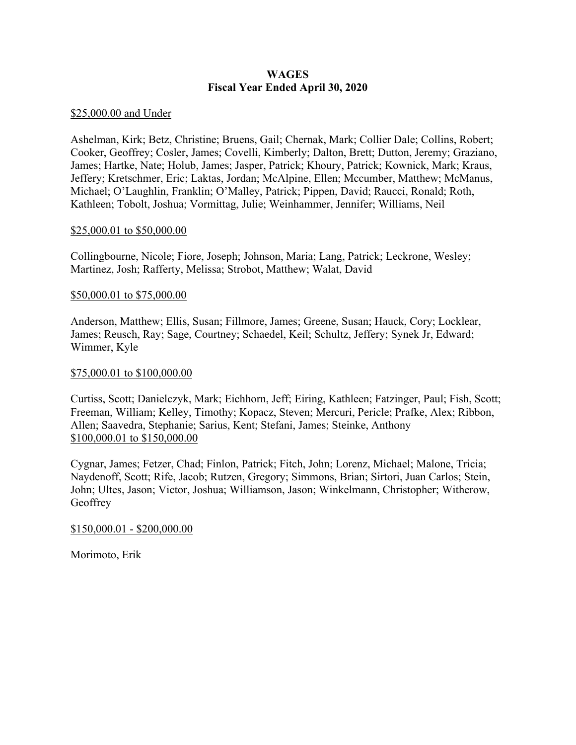# **WAGES Fiscal Year Ended April 30, 2020**

# \$25,000.00 and Under

Ashelman, Kirk; Betz, Christine; Bruens, Gail; Chernak, Mark; Collier Dale; Collins, Robert; Cooker, Geoffrey; Cosler, James; Covelli, Kimberly; Dalton, Brett; Dutton, Jeremy; Graziano, James; Hartke, Nate; Holub, James; Jasper, Patrick; Khoury, Patrick; Kownick, Mark; Kraus, Jeffery; Kretschmer, Eric; Laktas, Jordan; McAlpine, Ellen; Mccumber, Matthew; McManus, Michael; O'Laughlin, Franklin; O'Malley, Patrick; Pippen, David; Raucci, Ronald; Roth, Kathleen; Tobolt, Joshua; Vormittag, Julie; Weinhammer, Jennifer; Williams, Neil

# \$25,000.01 to \$50,000.00

Collingbourne, Nicole; Fiore, Joseph; Johnson, Maria; Lang, Patrick; Leckrone, Wesley; Martinez, Josh; Rafferty, Melissa; Strobot, Matthew; Walat, David

# \$50,000.01 to \$75,000.00

Anderson, Matthew; Ellis, Susan; Fillmore, James; Greene, Susan; Hauck, Cory; Locklear, James; Reusch, Ray; Sage, Courtney; Schaedel, Keil; Schultz, Jeffery; Synek Jr, Edward; Wimmer, Kyle

# \$75,000.01 to \$100,000.00

Curtiss, Scott; Danielczyk, Mark; Eichhorn, Jeff; Eiring, Kathleen; Fatzinger, Paul; Fish, Scott; Freeman, William; Kelley, Timothy; Kopacz, Steven; Mercuri, Pericle; Prafke, Alex; Ribbon, Allen; Saavedra, Stephanie; Sarius, Kent; Stefani, James; Steinke, Anthony \$100,000.01 to \$150,000.00

Cygnar, James; Fetzer, Chad; Finlon, Patrick; Fitch, John; Lorenz, Michael; Malone, Tricia; Naydenoff, Scott; Rife, Jacob; Rutzen, Gregory; Simmons, Brian; Sirtori, Juan Carlos; Stein, John; Ultes, Jason; Victor, Joshua; Williamson, Jason; Winkelmann, Christopher; Witherow, **Geoffrey** 

#### \$150,000.01 - \$200,000.00

Morimoto, Erik